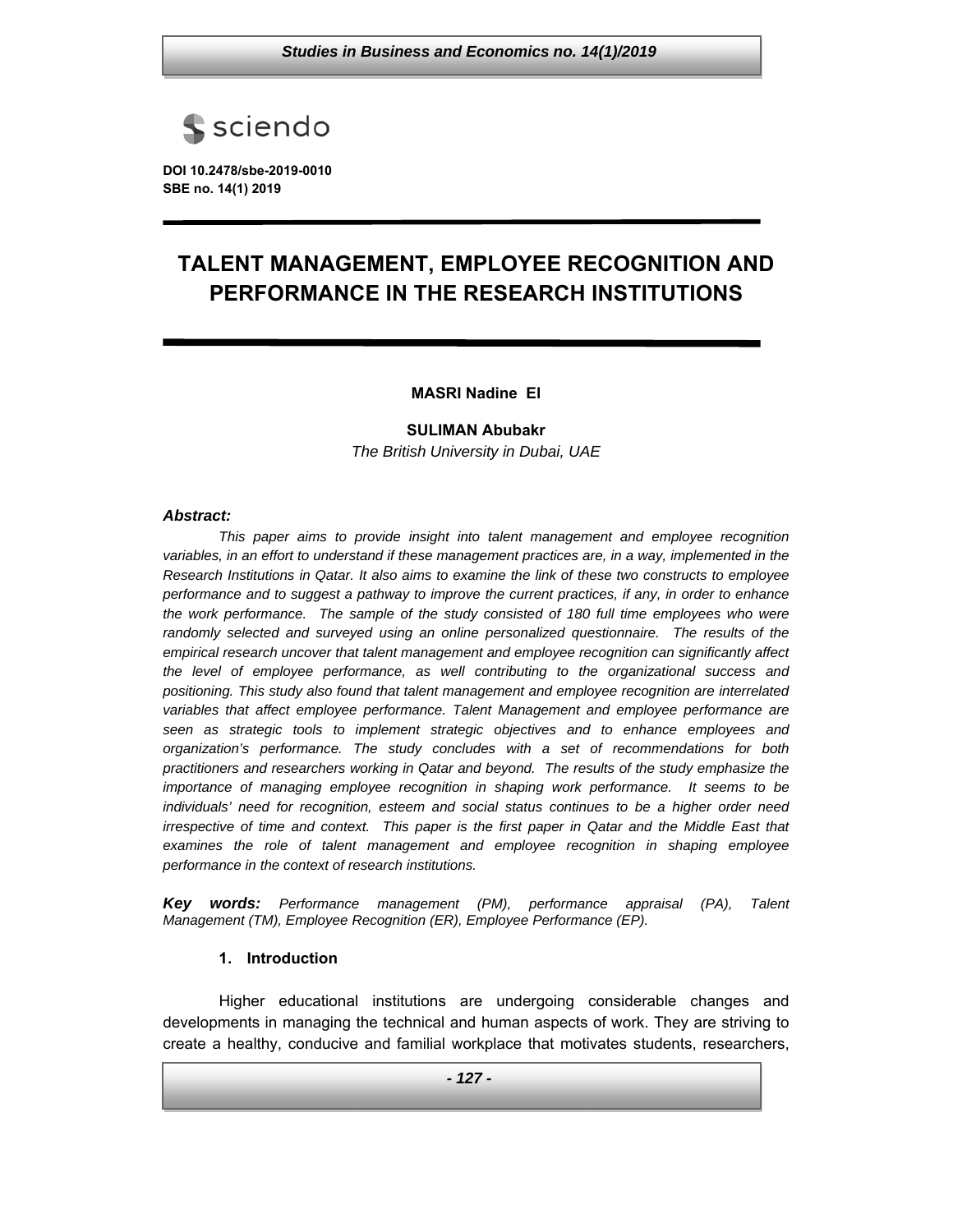sciendo

**DOI 10.2478/sbe-2019-0010 SBE no. 14(1) 2019** 

# **TALENT MANAGEMENT, EMPLOYEE RECOGNITION AND PERFORMANCE IN THE RESEARCH INSTITUTIONS**

## **MASRI Nadine El**

#### **SULIMAN Abubakr**

*The British University in Dubai, UAE* 

#### *Abstract:*

*This paper aims to provide insight into talent management and employee recognition variables, in an effort to understand if these management practices are, in a way, implemented in the Research Institutions in Qatar. It also aims to examine the link of these two constructs to employee performance and to suggest a pathway to improve the current practices, if any, in order to enhance the work performance. The sample of the study consisted of 180 full time employees who were*  randomly selected and surveyed using an online personalized questionnaire. The results of the *empirical research uncover that talent management and employee recognition can significantly affect the level of employee performance, as well contributing to the organizational success and positioning. This study also found that talent management and employee recognition are interrelated*  variables that affect employee performance. Talent Management and employee performance are *seen as strategic tools to implement strategic objectives and to enhance employees and organization's performance. The study concludes with a set of recommendations for both practitioners and researchers working in Qatar and beyond. The results of the study emphasize the importance of managing employee recognition in shaping work performance. It seems to be individuals' need for recognition, esteem and social status continues to be a higher order need irrespective of time and context. This paper is the first paper in Qatar and the Middle East that examines the role of talent management and employee recognition in shaping employee performance in the context of research institutions.* 

*Key words: Performance management (PM), performance appraisal (PA), Talent Management (TM), Employee Recognition (ER), Employee Performance (EP).* 

# **1. Introduction**

 Higher educational institutions are undergoing considerable changes and developments in managing the technical and human aspects of work. They are striving to create a healthy, conducive and familial workplace that motivates students, researchers,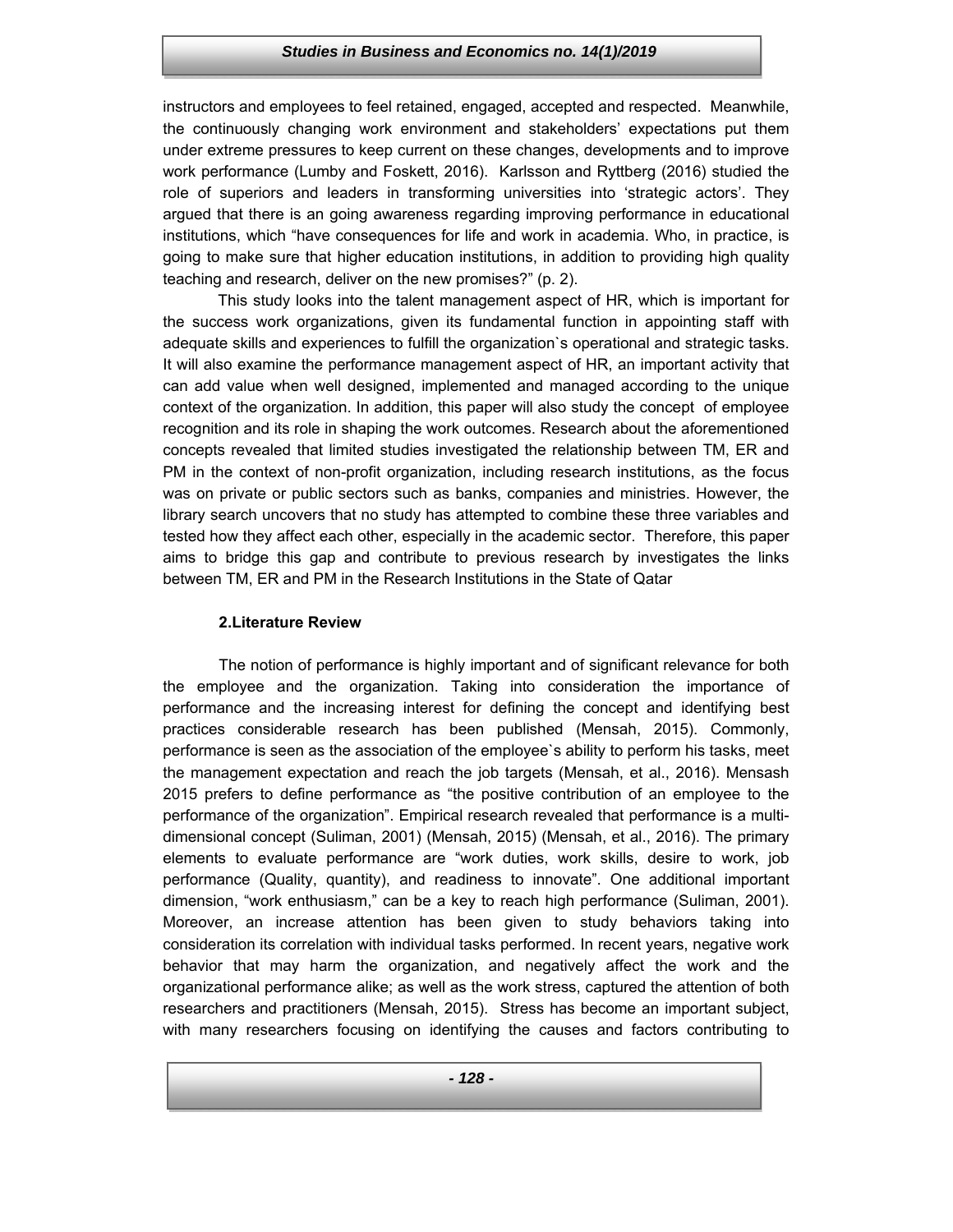instructors and employees to feel retained, engaged, accepted and respected. Meanwhile, the continuously changing work environment and stakeholders' expectations put them under extreme pressures to keep current on these changes, developments and to improve work performance (Lumby and Foskett, 2016). Karlsson and Ryttberg (2016) studied the role of superiors and leaders in transforming universities into 'strategic actors'. They argued that there is an going awareness regarding improving performance in educational institutions, which "have consequences for life and work in academia. Who, in practice, is going to make sure that higher education institutions, in addition to providing high quality teaching and research, deliver on the new promises?" (p. 2).

 This study looks into the talent management aspect of HR, which is important for the success work organizations, given its fundamental function in appointing staff with adequate skills and experiences to fulfill the organization`s operational and strategic tasks. It will also examine the performance management aspect of HR, an important activity that can add value when well designed, implemented and managed according to the unique context of the organization. In addition, this paper will also study the concept of employee recognition and its role in shaping the work outcomes. Research about the aforementioned concepts revealed that limited studies investigated the relationship between TM, ER and PM in the context of non-profit organization, including research institutions, as the focus was on private or public sectors such as banks, companies and ministries. However, the library search uncovers that no study has attempted to combine these three variables and tested how they affect each other, especially in the academic sector. Therefore, this paper aims to bridge this gap and contribute to previous research by investigates the links between TM, ER and PM in the Research Institutions in the State of Qatar

## **2.Literature Review**

The notion of performance is highly important and of significant relevance for both the employee and the organization. Taking into consideration the importance of performance and the increasing interest for defining the concept and identifying best practices considerable research has been published (Mensah, 2015). Commonly, performance is seen as the association of the employee`s ability to perform his tasks, meet the management expectation and reach the job targets (Mensah, et al., 2016). Mensash 2015 prefers to define performance as "the positive contribution of an employee to the performance of the organization". Empirical research revealed that performance is a multidimensional concept (Suliman, 2001) (Mensah, 2015) (Mensah, et al., 2016). The primary elements to evaluate performance are "work duties, work skills, desire to work, job performance (Quality, quantity), and readiness to innovate". One additional important dimension, "work enthusiasm," can be a key to reach high performance (Suliman, 2001). Moreover, an increase attention has been given to study behaviors taking into consideration its correlation with individual tasks performed. In recent years, negative work behavior that may harm the organization, and negatively affect the work and the organizational performance alike; as well as the work stress, captured the attention of both researchers and practitioners (Mensah, 2015). Stress has become an important subject, with many researchers focusing on identifying the causes and factors contributing to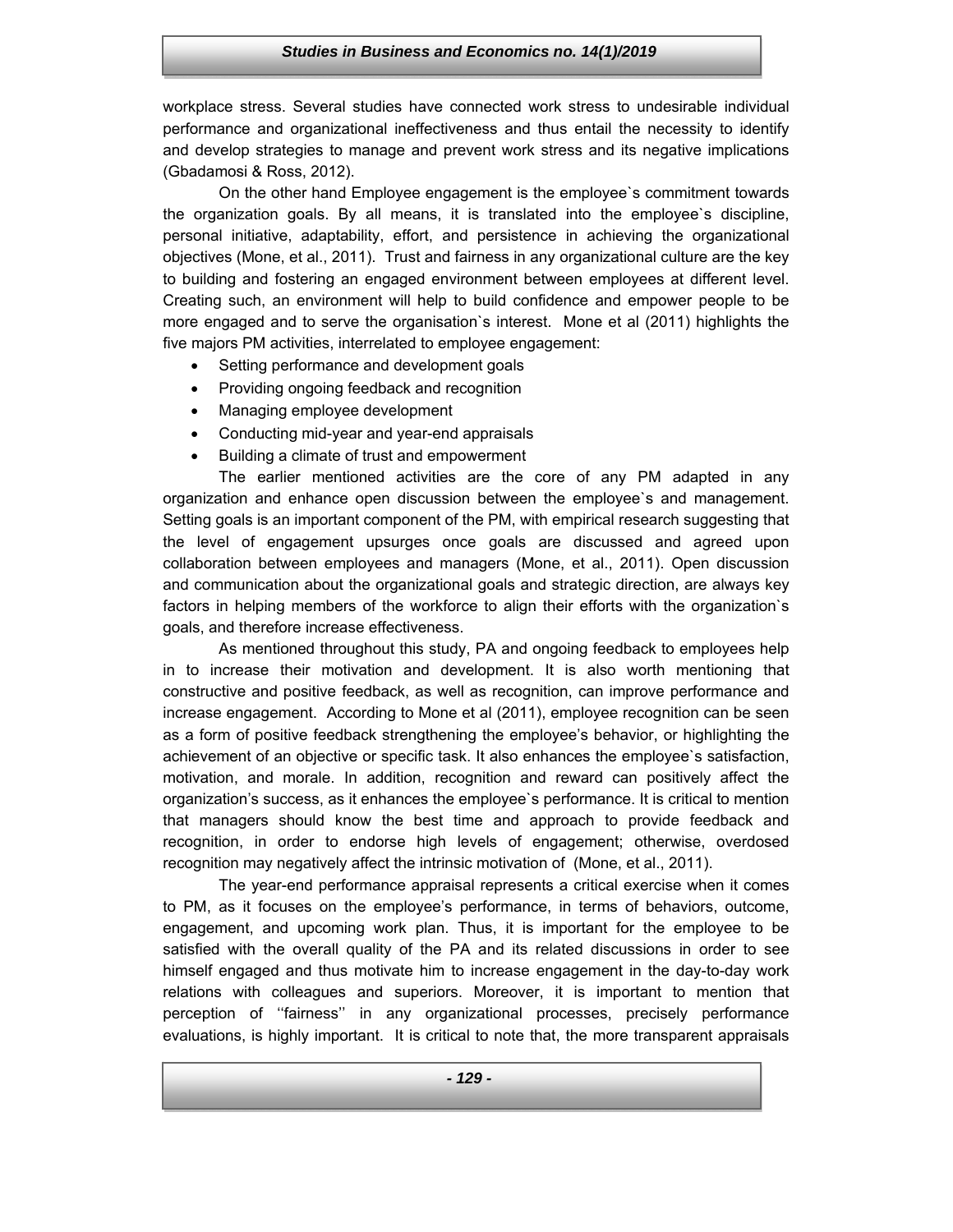workplace stress. Several studies have connected work stress to undesirable individual performance and organizational ineffectiveness and thus entail the necessity to identify and develop strategies to manage and prevent work stress and its negative implications (Gbadamosi & Ross, 2012).

On the other hand Employee engagement is the employee`s commitment towards the organization goals. By all means, it is translated into the employee`s discipline, personal initiative, adaptability, effort, and persistence in achieving the organizational objectives (Mone, et al., 2011). Trust and fairness in any organizational culture are the key to building and fostering an engaged environment between employees at different level. Creating such, an environment will help to build confidence and empower people to be more engaged and to serve the organisation`s interest. Mone et al (2011) highlights the five majors PM activities, interrelated to employee engagement:

- Setting performance and development goals
- Providing ongoing feedback and recognition
- Managing employee development
- Conducting mid-year and year-end appraisals
- Building a climate of trust and empowerment

The earlier mentioned activities are the core of any PM adapted in any organization and enhance open discussion between the employee`s and management. Setting goals is an important component of the PM, with empirical research suggesting that the level of engagement upsurges once goals are discussed and agreed upon collaboration between employees and managers (Mone, et al., 2011). Open discussion and communication about the organizational goals and strategic direction, are always key factors in helping members of the workforce to align their efforts with the organization`s goals, and therefore increase effectiveness.

As mentioned throughout this study, PA and ongoing feedback to employees help in to increase their motivation and development. It is also worth mentioning that constructive and positive feedback, as well as recognition, can improve performance and increase engagement. According to Mone et al (2011), employee recognition can be seen as a form of positive feedback strengthening the employee's behavior, or highlighting the achievement of an objective or specific task. It also enhances the employee`s satisfaction, motivation, and morale. In addition, recognition and reward can positively affect the organization's success, as it enhances the employee`s performance. It is critical to mention that managers should know the best time and approach to provide feedback and recognition, in order to endorse high levels of engagement; otherwise, overdosed recognition may negatively affect the intrinsic motivation of (Mone, et al., 2011).

The year-end performance appraisal represents a critical exercise when it comes to PM, as it focuses on the employee's performance, in terms of behaviors, outcome, engagement, and upcoming work plan. Thus, it is important for the employee to be satisfied with the overall quality of the PA and its related discussions in order to see himself engaged and thus motivate him to increase engagement in the day-to-day work relations with colleagues and superiors. Moreover, it is important to mention that perception of ''fairness'' in any organizational processes, precisely performance evaluations, is highly important. It is critical to note that, the more transparent appraisals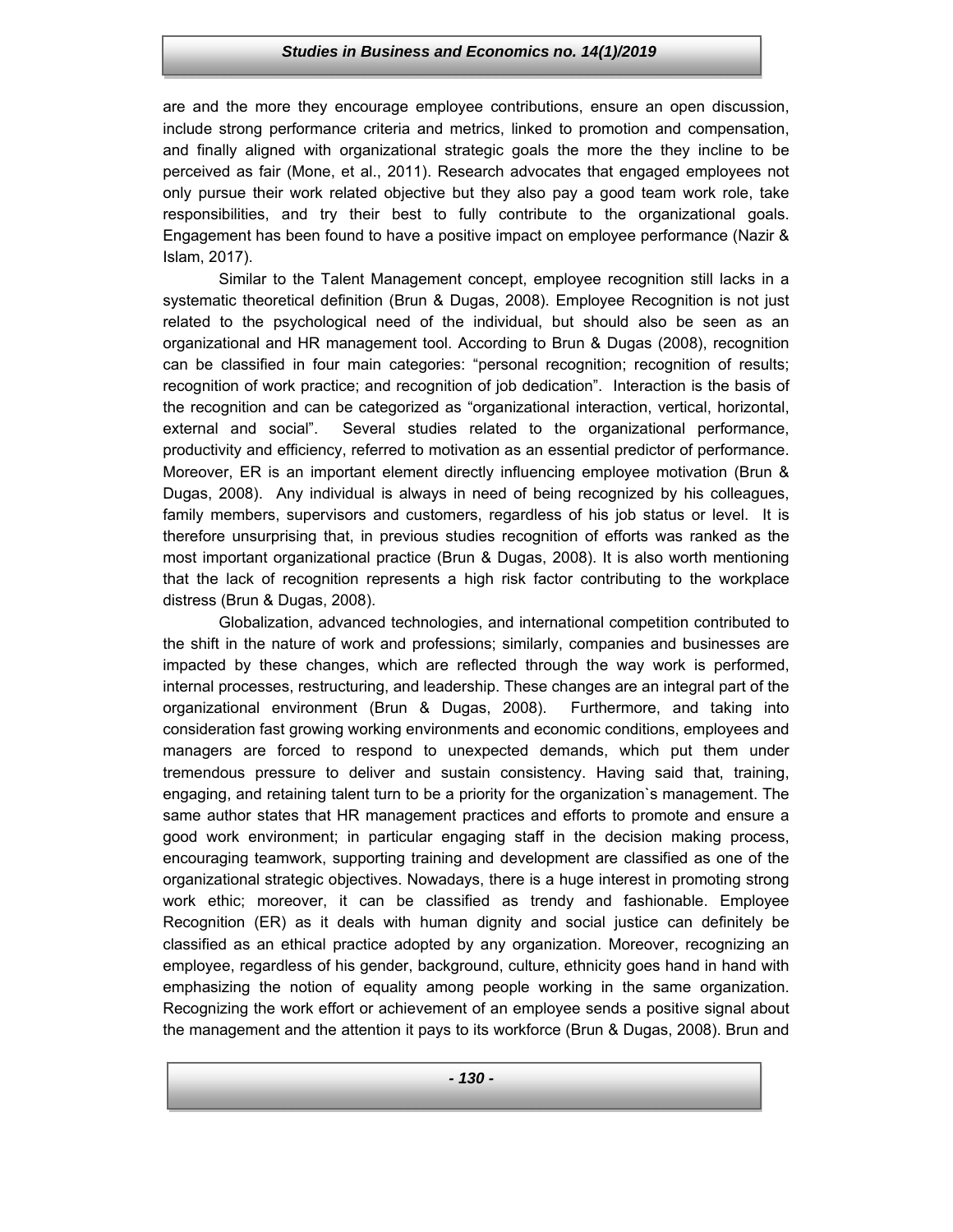are and the more they encourage employee contributions, ensure an open discussion, include strong performance criteria and metrics, linked to promotion and compensation, and finally aligned with organizational strategic goals the more the they incline to be perceived as fair (Mone, et al., 2011). Research advocates that engaged employees not only pursue their work related objective but they also pay a good team work role, take responsibilities, and try their best to fully contribute to the organizational goals. Engagement has been found to have a positive impact on employee performance (Nazir & Islam, 2017).

Similar to the Talent Management concept, employee recognition still lacks in a systematic theoretical definition (Brun & Dugas, 2008). Employee Recognition is not just related to the psychological need of the individual, but should also be seen as an organizational and HR management tool. According to Brun & Dugas (2008), recognition can be classified in four main categories: "personal recognition; recognition of results; recognition of work practice; and recognition of job dedication". Interaction is the basis of the recognition and can be categorized as "organizational interaction, vertical, horizontal, external and social". Several studies related to the organizational performance, productivity and efficiency, referred to motivation as an essential predictor of performance. Moreover, ER is an important element directly influencing employee motivation (Brun & Dugas, 2008). Any individual is always in need of being recognized by his colleagues, family members, supervisors and customers, regardless of his job status or level. It is therefore unsurprising that, in previous studies recognition of efforts was ranked as the most important organizational practice (Brun & Dugas, 2008). It is also worth mentioning that the lack of recognition represents a high risk factor contributing to the workplace distress (Brun & Dugas, 2008).

Globalization, advanced technologies, and international competition contributed to the shift in the nature of work and professions; similarly, companies and businesses are impacted by these changes, which are reflected through the way work is performed, internal processes, restructuring, and leadership. These changes are an integral part of the organizational environment (Brun & Dugas, 2008). Furthermore, and taking into consideration fast growing working environments and economic conditions, employees and managers are forced to respond to unexpected demands, which put them under tremendous pressure to deliver and sustain consistency. Having said that, training, engaging, and retaining talent turn to be a priority for the organization`s management. The same author states that HR management practices and efforts to promote and ensure a good work environment; in particular engaging staff in the decision making process, encouraging teamwork, supporting training and development are classified as one of the organizational strategic objectives. Nowadays, there is a huge interest in promoting strong work ethic; moreover, it can be classified as trendy and fashionable. Employee Recognition (ER) as it deals with human dignity and social justice can definitely be classified as an ethical practice adopted by any organization. Moreover, recognizing an employee, regardless of his gender, background, culture, ethnicity goes hand in hand with emphasizing the notion of equality among people working in the same organization. Recognizing the work effort or achievement of an employee sends a positive signal about the management and the attention it pays to its workforce (Brun & Dugas, 2008). Brun and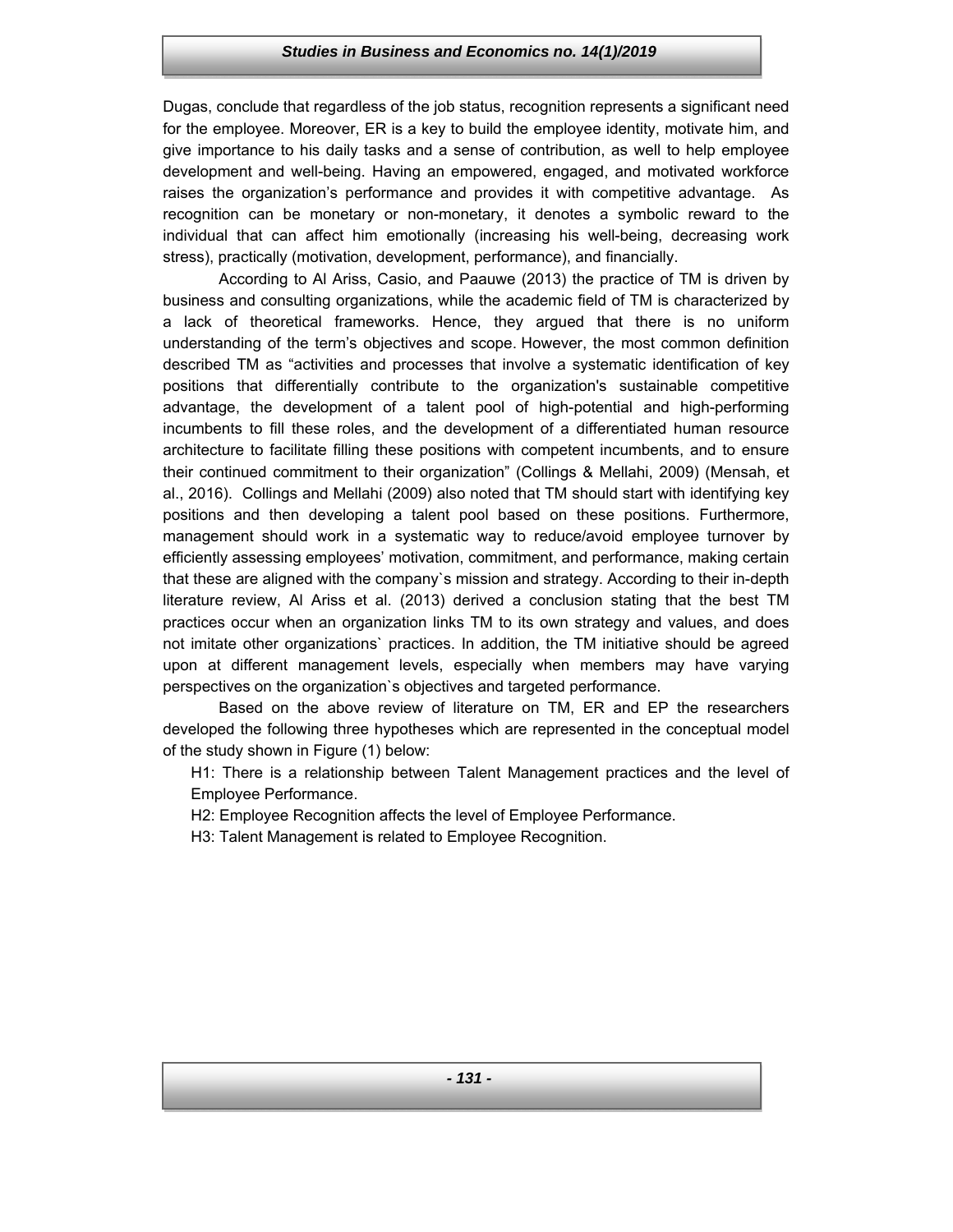Dugas, conclude that regardless of the job status, recognition represents a significant need for the employee. Moreover, ER is a key to build the employee identity, motivate him, and give importance to his daily tasks and a sense of contribution, as well to help employee development and well-being. Having an empowered, engaged, and motivated workforce raises the organization's performance and provides it with competitive advantage. As recognition can be monetary or non-monetary, it denotes a symbolic reward to the individual that can affect him emotionally (increasing his well-being, decreasing work stress), practically (motivation, development, performance), and financially.

According to Al Ariss, Casio, and Paauwe (2013) the practice of TM is driven by business and consulting organizations, while the academic field of TM is characterized by a lack of theoretical frameworks. Hence, they argued that there is no uniform understanding of the term's objectives and scope. However, the most common definition described TM as "activities and processes that involve a systematic identification of key positions that differentially contribute to the organization's sustainable competitive advantage, the development of a talent pool of high-potential and high-performing incumbents to fill these roles, and the development of a differentiated human resource architecture to facilitate filling these positions with competent incumbents, and to ensure their continued commitment to their organization" (Collings & Mellahi, 2009) (Mensah, et al., 2016). Collings and Mellahi (2009) also noted that TM should start with identifying key positions and then developing a talent pool based on these positions. Furthermore, management should work in a systematic way to reduce/avoid employee turnover by efficiently assessing employees' motivation, commitment, and performance, making certain that these are aligned with the company`s mission and strategy. According to their in-depth literature review, Al Ariss et al. (2013) derived a conclusion stating that the best TM practices occur when an organization links TM to its own strategy and values, and does not imitate other organizations` practices. In addition, the TM initiative should be agreed upon at different management levels, especially when members may have varying perspectives on the organization`s objectives and targeted performance.

 Based on the above review of literature on TM, ER and EP the researchers developed the following three hypotheses which are represented in the conceptual model of the study shown in Figure (1) below:

H1: There is a relationship between Talent Management practices and the level of Employee Performance.

H2: Employee Recognition affects the level of Employee Performance.

H3: Talent Management is related to Employee Recognition.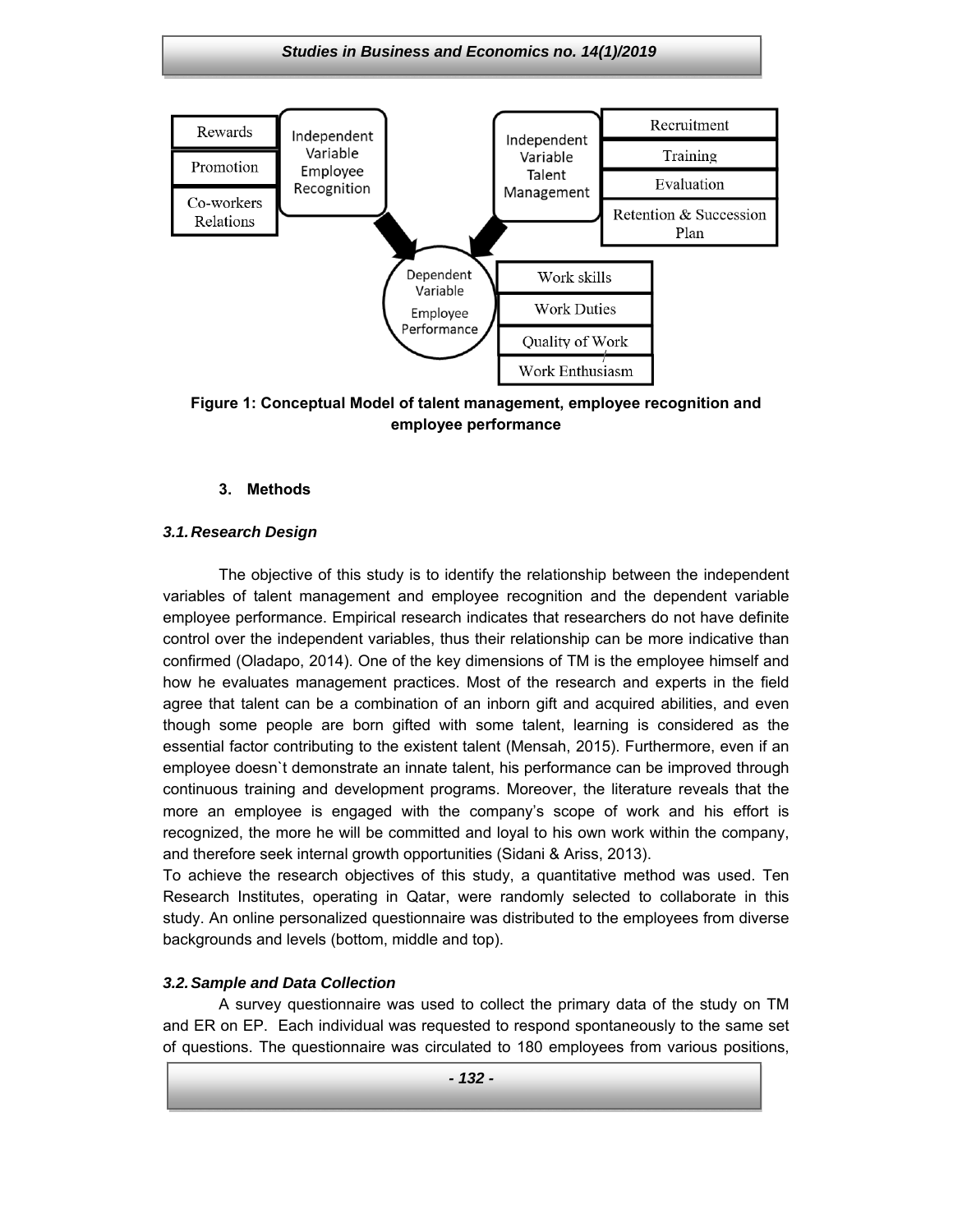



**Figure 1: Conceptual Model of talent management, employee recognition and employee performance** 

# **3. Methods**

# *3.1. Research Design*

The objective of this study is to identify the relationship between the independent variables of talent management and employee recognition and the dependent variable employee performance. Empirical research indicates that researchers do not have definite control over the independent variables, thus their relationship can be more indicative than confirmed (Oladapo, 2014). One of the key dimensions of TM is the employee himself and how he evaluates management practices. Most of the research and experts in the field agree that talent can be a combination of an inborn gift and acquired abilities, and even though some people are born gifted with some talent, learning is considered as the essential factor contributing to the existent talent (Mensah, 2015). Furthermore, even if an employee doesn`t demonstrate an innate talent, his performance can be improved through continuous training and development programs. Moreover, the literature reveals that the more an employee is engaged with the company's scope of work and his effort is recognized, the more he will be committed and loyal to his own work within the company, and therefore seek internal growth opportunities (Sidani & Ariss, 2013).

To achieve the research objectives of this study, a quantitative method was used. Ten Research Institutes, operating in Qatar, were randomly selected to collaborate in this study. An online personalized questionnaire was distributed to the employees from diverse backgrounds and levels (bottom, middle and top).

# *3.2. Sample and Data Collection*

A survey questionnaire was used to collect the primary data of the study on TM and ER on EP. Each individual was requested to respond spontaneously to the same set of questions. The questionnaire was circulated to 180 employees from various positions,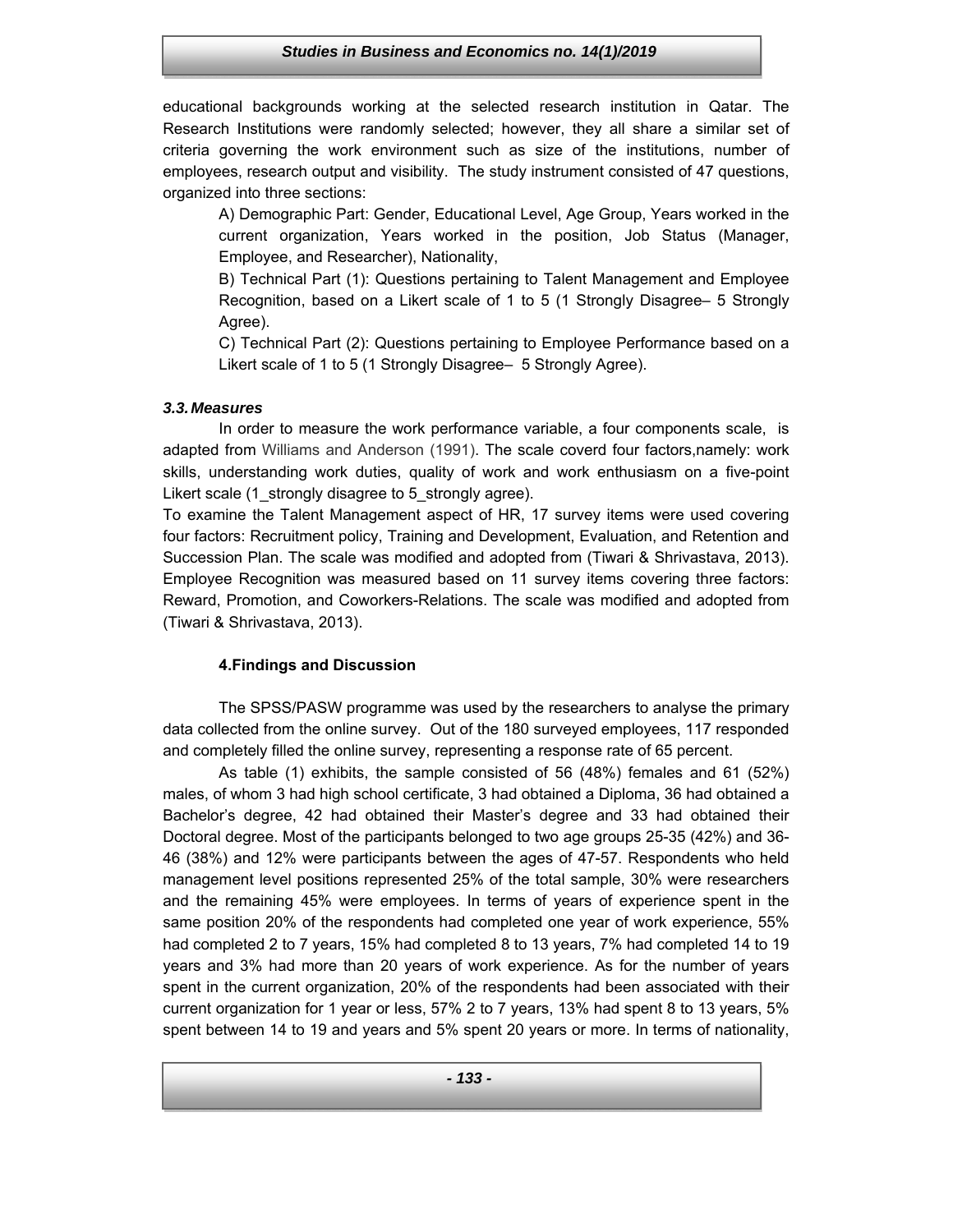educational backgrounds working at the selected research institution in Qatar. The Research Institutions were randomly selected; however, they all share a similar set of criteria governing the work environment such as size of the institutions, number of employees, research output and visibility. The study instrument consisted of 47 questions, organized into three sections:

A) Demographic Part: Gender, Educational Level, Age Group, Years worked in the current organization, Years worked in the position, Job Status (Manager, Employee, and Researcher), Nationality,

B) Technical Part (1): Questions pertaining to Talent Management and Employee Recognition, based on a Likert scale of 1 to 5 (1 Strongly Disagree– 5 Strongly Agree).

C) Technical Part (2): Questions pertaining to Employee Performance based on a Likert scale of 1 to 5 (1 Strongly Disagree– 5 Strongly Agree).

## *3.3. Measures*

In order to measure the work performance variable, a four components scale, is adapted from Williams and Anderson (1991). The scale coverd four factors,namely: work skills, understanding work duties, quality of work and work enthusiasm on a five-point Likert scale (1 strongly disagree to 5 strongly agree).

To examine the Talent Management aspect of HR, 17 survey items were used covering four factors: Recruitment policy, Training and Development, Evaluation, and Retention and Succession Plan. The scale was modified and adopted from (Tiwari & Shrivastava, 2013). Employee Recognition was measured based on 11 survey items covering three factors: Reward, Promotion, and Coworkers-Relations. The scale was modified and adopted from (Tiwari & Shrivastava, 2013).

## **4.Findings and Discussion**

The SPSS/PASW programme was used by the researchers to analyse the primary data collected from the online survey. Out of the 180 surveyed employees, 117 responded and completely filled the online survey, representing a response rate of 65 percent.

As table (1) exhibits, the sample consisted of 56 (48%) females and 61 (52%) males, of whom 3 had high school certificate, 3 had obtained a Diploma, 36 had obtained a Bachelor's degree, 42 had obtained their Master's degree and 33 had obtained their Doctoral degree. Most of the participants belonged to two age groups 25-35 (42%) and 36- 46 (38%) and 12% were participants between the ages of 47-57. Respondents who held management level positions represented 25% of the total sample, 30% were researchers and the remaining 45% were employees. In terms of years of experience spent in the same position 20% of the respondents had completed one year of work experience, 55% had completed 2 to 7 years, 15% had completed 8 to 13 years, 7% had completed 14 to 19 years and 3% had more than 20 years of work experience. As for the number of years spent in the current organization, 20% of the respondents had been associated with their current organization for 1 year or less, 57% 2 to 7 years, 13% had spent 8 to 13 years, 5% spent between 14 to 19 and years and 5% spent 20 years or more. In terms of nationality,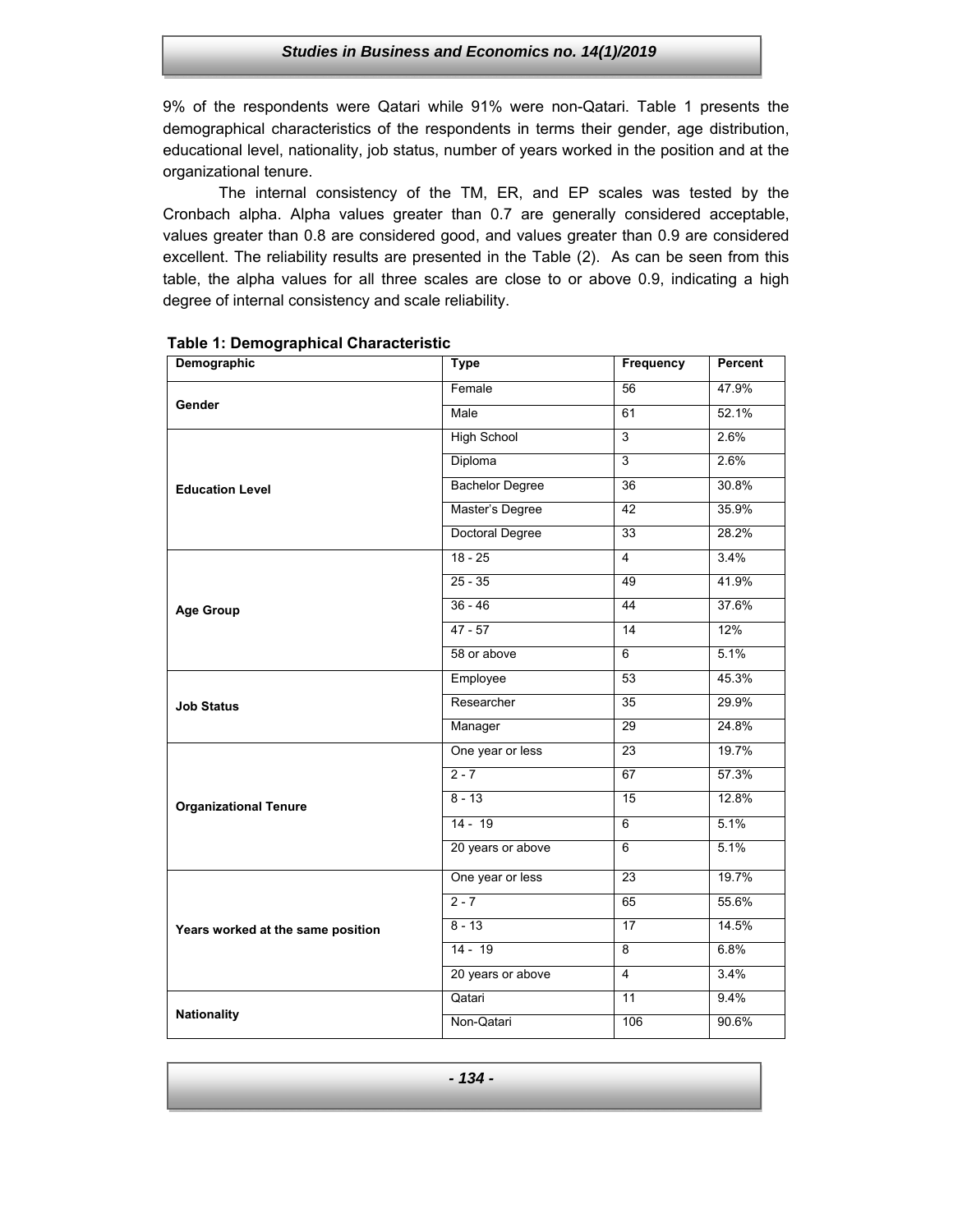9% of the respondents were Qatari while 91% were non-Qatari. Table 1 presents the demographical characteristics of the respondents in terms their gender, age distribution, educational level, nationality, job status, number of years worked in the position and at the organizational tenure.

 The internal consistency of the TM, ER, and EP scales was tested by the Cronbach alpha. Alpha values greater than 0.7 are generally considered acceptable, values greater than 0.8 are considered good, and values greater than 0.9 are considered excellent. The reliability results are presented in the Table (2). As can be seen from this table, the alpha values for all three scales are close to or above 0.9, indicating a high degree of internal consistency and scale reliability.

| Demographic                       | <b>Type</b>            | Frequency               | Percent |  |
|-----------------------------------|------------------------|-------------------------|---------|--|
|                                   | Female                 | $\overline{56}$         | 47.9%   |  |
| Gender                            | Male                   | 61                      | 52.1%   |  |
|                                   | <b>High School</b>     | $\overline{\mathbf{3}}$ | 2.6%    |  |
|                                   | Diploma                | $\overline{3}$          | 2.6%    |  |
| <b>Education Level</b>            | <b>Bachelor Degree</b> | $\overline{36}$         | 30.8%   |  |
|                                   | Master's Degree        | 42                      | 35.9%   |  |
|                                   | <b>Doctoral Degree</b> | $\overline{33}$         | 28.2%   |  |
|                                   | $18 - 25$              | $\overline{4}$          | 3.4%    |  |
|                                   | $25 - 35$              | 49                      | 41.9%   |  |
| <b>Age Group</b>                  | $36 - 46$              | $\overline{44}$         | 37.6%   |  |
|                                   | $47 - 57$              | 14                      | 12%     |  |
|                                   | 58 or above            | $6\overline{6}$         | 5.1%    |  |
| <b>Job Status</b>                 | Employee               | $\overline{53}$         | 45.3%   |  |
|                                   | Researcher             | 35                      | 29.9%   |  |
|                                   | Manager                | $\overline{29}$         | 24.8%   |  |
|                                   | One year or less       | $\overline{23}$         | 19.7%   |  |
|                                   | $2 - 7$                | 67                      | 57.3%   |  |
| <b>Organizational Tenure</b>      | $8 - 13$               | 15                      | 12.8%   |  |
|                                   | $14 - 19$              | 6                       | 5.1%    |  |
|                                   | 20 years or above      | 6                       | 5.1%    |  |
|                                   | One year or less       | $\overline{23}$         | 19.7%   |  |
| Years worked at the same position | $2 - 7$                | 65                      | 55.6%   |  |
|                                   | $8 - 13$               | 17                      | 14.5%   |  |
|                                   | $14 - 19$              | $\overline{8}$          | 6.8%    |  |
|                                   | 20 years or above      | $\overline{4}$          | 3.4%    |  |
|                                   | Qatari                 | 11                      | 9.4%    |  |
| <b>Nationality</b>                | Non-Qatari             | 106                     | 90.6%   |  |
|                                   |                        |                         |         |  |

## **Table 1: Demographical Characteristic**

*- 134 -*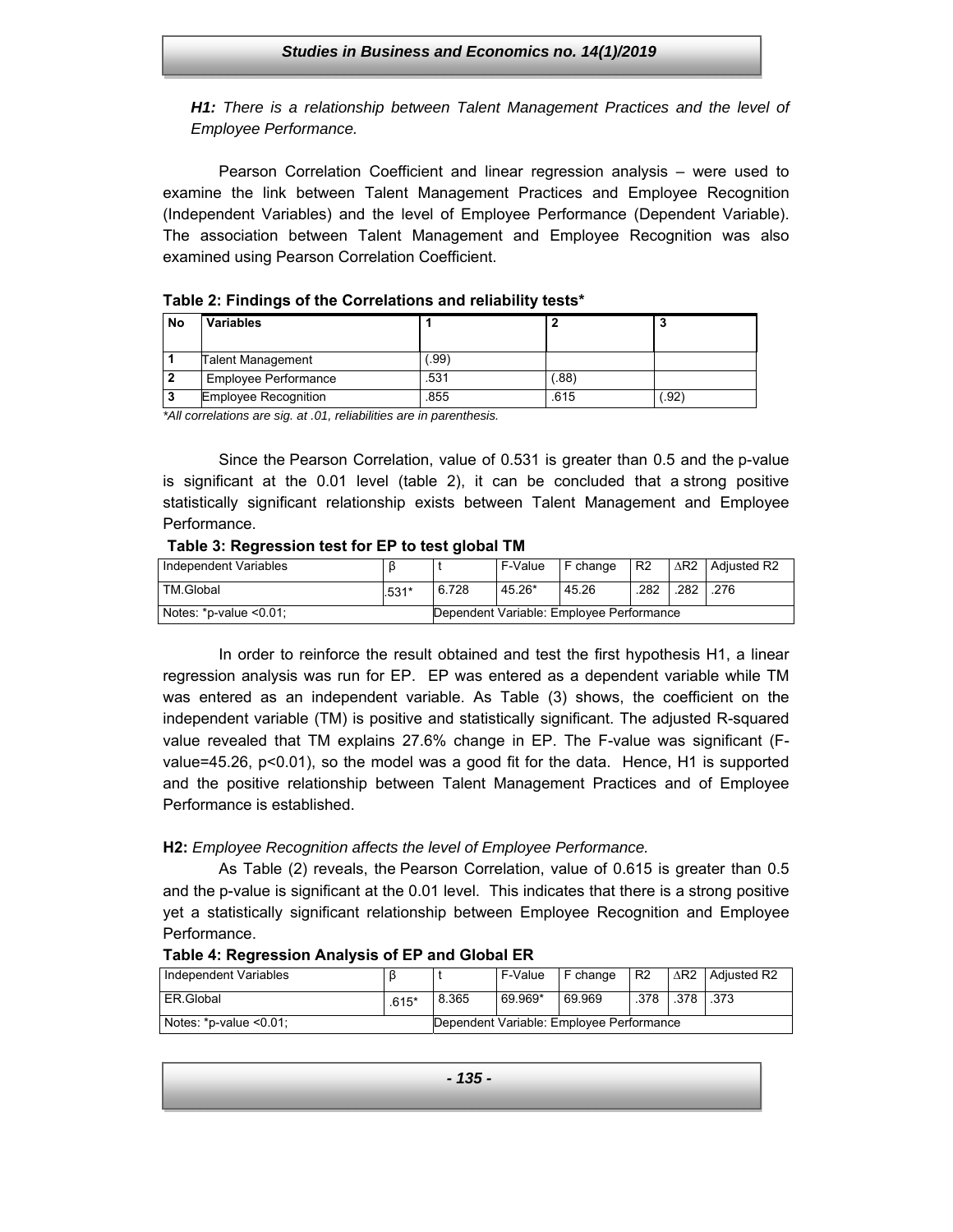*H1: There is a relationship between Talent Management Practices and the level of Employee Performance.* 

 Pearson Correlation Coefficient and linear regression analysis – were used to examine the link between Talent Management Practices and Employee Recognition (Independent Variables) and the level of Employee Performance (Dependent Variable). The association between Talent Management and Employee Recognition was also examined using Pearson Correlation Coefficient.

| No | <b>Variables</b>            |       |                 |      |
|----|-----------------------------|-------|-----------------|------|
|    | <b>Talent Management</b>    | (.99) |                 |      |
|    | <b>Employee Performance</b> | .531  | $^{\prime}.88)$ |      |
|    | <b>Employee Recognition</b> | .855  | .615            | .92) |

| Table 2: Findings of the Correlations and reliability tests* |  |  |  |  |  |  |  |  |
|--------------------------------------------------------------|--|--|--|--|--|--|--|--|
|--------------------------------------------------------------|--|--|--|--|--|--|--|--|

*\*All correlations are sig. at .01, reliabilities are in parenthesis.* 

 Since the Pearson Correlation, value of 0.531 is greater than 0.5 and the p-value is significant at the 0.01 level (table 2), it can be concluded that a strong positive statistically significant relationship exists between Talent Management and Employee Performance.

#### **Table 3: Regression test for EP to test global TM**

| I Independent Variables    |         |                                          | F-Value | F change | IR <sub>2</sub> |      | $\triangle$ R2 Adiusted R2 |
|----------------------------|---------|------------------------------------------|---------|----------|-----------------|------|----------------------------|
| TM.Global                  | $.531*$ | 6.728                                    | 45.26*  | 45.26    | .282            | .282 | .276                       |
| Notes: $*$ p-value < 0.01: |         | Dependent Variable: Employee Performance |         |          |                 |      |                            |

 In order to reinforce the result obtained and test the first hypothesis H1, a linear regression analysis was run for EP. EP was entered as a dependent variable while TM was entered as an independent variable. As Table (3) shows, the coefficient on the independent variable (TM) is positive and statistically significant. The adjusted R-squared value revealed that TM explains 27.6% change in EP. The F-value was significant (Fvalue=45.26, p<0.01), so the model was a good fit for the data. Hence, H1 is supported and the positive relationship between Talent Management Practices and of Employee Performance is established.

## **H2:** *Employee Recognition affects the level of Employee Performance.*

 As Table (2) reveals, the Pearson Correlation, value of 0.615 is greater than 0.5 and the p-value is significant at the 0.01 level. This indicates that there is a strong positive yet a statistically significant relationship between Employee Recognition and Employee Performance.

| Independent Variables                                              |         |       | F-Value | l F change | IR <sub>2</sub> |                | <u><b>AR2</b></u> Adiusted R2 |
|--------------------------------------------------------------------|---------|-------|---------|------------|-----------------|----------------|-------------------------------|
|                                                                    |         |       |         |            |                 |                |                               |
| ER Global                                                          | $.615*$ | 8.365 | 69.969* | 69.969     |                 | .378 .378 .373 |                               |
|                                                                    |         |       |         |            |                 |                |                               |
| Notes: *p-value <0.01:<br>Dependent Variable: Emplovee Performance |         |       |         |            |                 |                |                               |

#### **Table 4: Regression Analysis of EP and Global ER**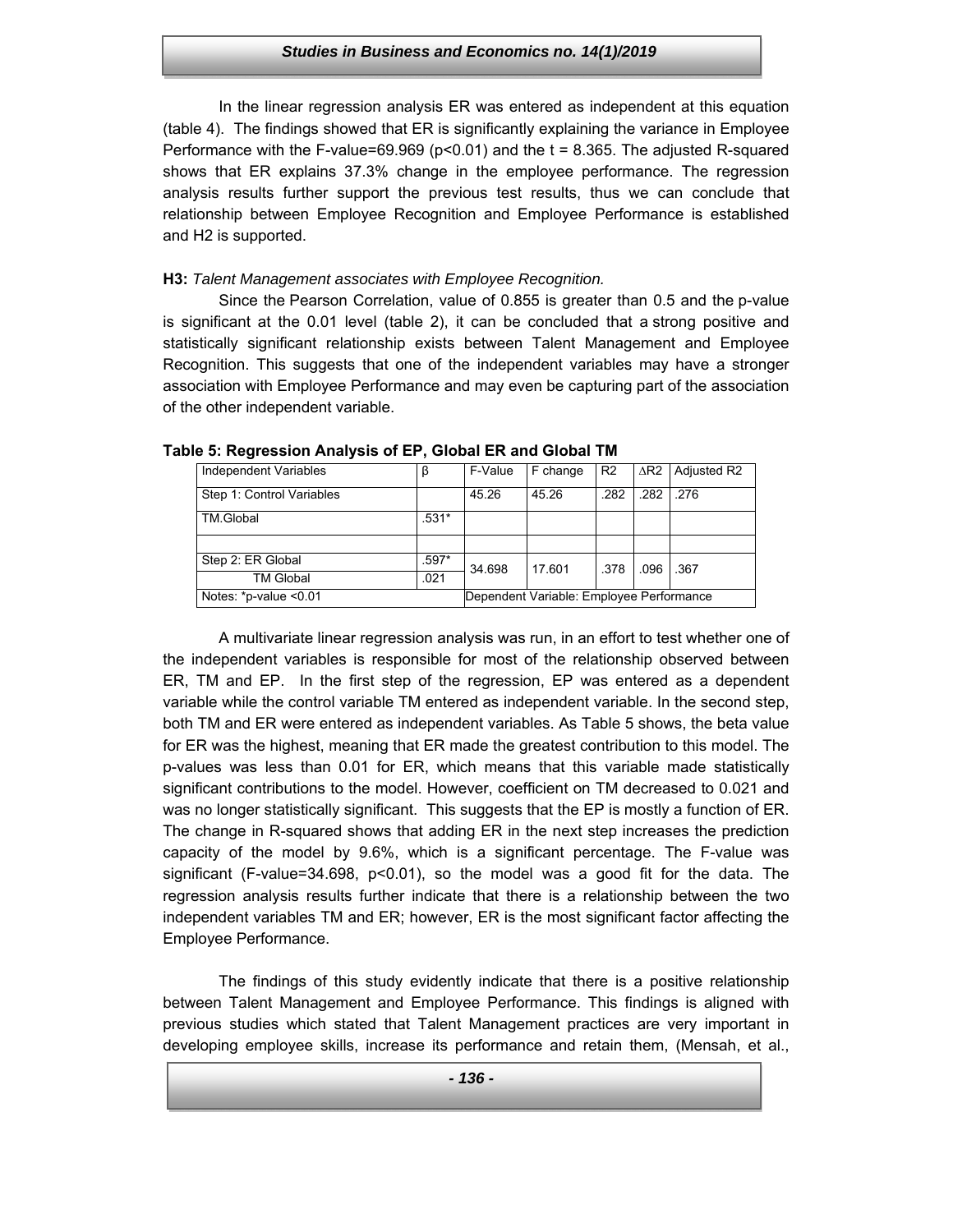In the linear regression analysis ER was entered as independent at this equation (table 4). The findings showed that ER is significantly explaining the variance in Employee Performance with the F-value=69.969 ( $p$ <0.01) and the  $t = 8.365$ . The adjusted R-squared shows that ER explains 37.3% change in the employee performance. The regression analysis results further support the previous test results, thus we can conclude that relationship between Employee Recognition and Employee Performance is established and H2 is supported.

## **H3:** *Talent Management associates with Employee Recognition.*

 Since the Pearson Correlation, value of 0.855 is greater than 0.5 and the p-value is significant at the 0.01 level (table 2), it can be concluded that a strong positive and statistically significant relationship exists between Talent Management and Employee Recognition. This suggests that one of the independent variables may have a stronger association with Employee Performance and may even be capturing part of the association of the other independent variable.

| Independent Variables     | ß                                        | F-Value | F change | R <sub>2</sub> |      | ∆R2 Adjusted R2 |
|---------------------------|------------------------------------------|---------|----------|----------------|------|-----------------|
| Step 1: Control Variables |                                          | 45.26   | 45.26    | .282           | .282 | .276            |
| TM.Global                 | $.531*$                                  |         |          |                |      |                 |
|                           |                                          |         |          |                |      |                 |
| Step 2: ER Global         | .597*                                    | 34.698  | 17.601   | .378           | .096 | .367            |
| TM Global                 | .021                                     |         |          |                |      |                 |
| Notes: *p-value <0.01     | Dependent Variable: Employee Performance |         |          |                |      |                 |

#### **Table 5: Regression Analysis of EP, Global ER and Global TM**

A multivariate linear regression analysis was run, in an effort to test whether one of the independent variables is responsible for most of the relationship observed between ER, TM and EP. In the first step of the regression, EP was entered as a dependent variable while the control variable TM entered as independent variable. In the second step, both TM and ER were entered as independent variables. As Table 5 shows, the beta value for ER was the highest, meaning that ER made the greatest contribution to this model. The p-values was less than 0.01 for ER, which means that this variable made statistically significant contributions to the model. However, coefficient on TM decreased to 0.021 and was no longer statistically significant. This suggests that the EP is mostly a function of ER. The change in R-squared shows that adding ER in the next step increases the prediction capacity of the model by 9.6%, which is a significant percentage. The F-value was significant (F-value=34.698,  $p<0.01$ ), so the model was a good fit for the data. The regression analysis results further indicate that there is a relationship between the two independent variables TM and ER; however, ER is the most significant factor affecting the Employee Performance.

 The findings of this study evidently indicate that there is a positive relationship between Talent Management and Employee Performance. This findings is aligned with previous studies which stated that Talent Management practices are very important in developing employee skills, increase its performance and retain them, (Mensah, et al.,

*- 136 -*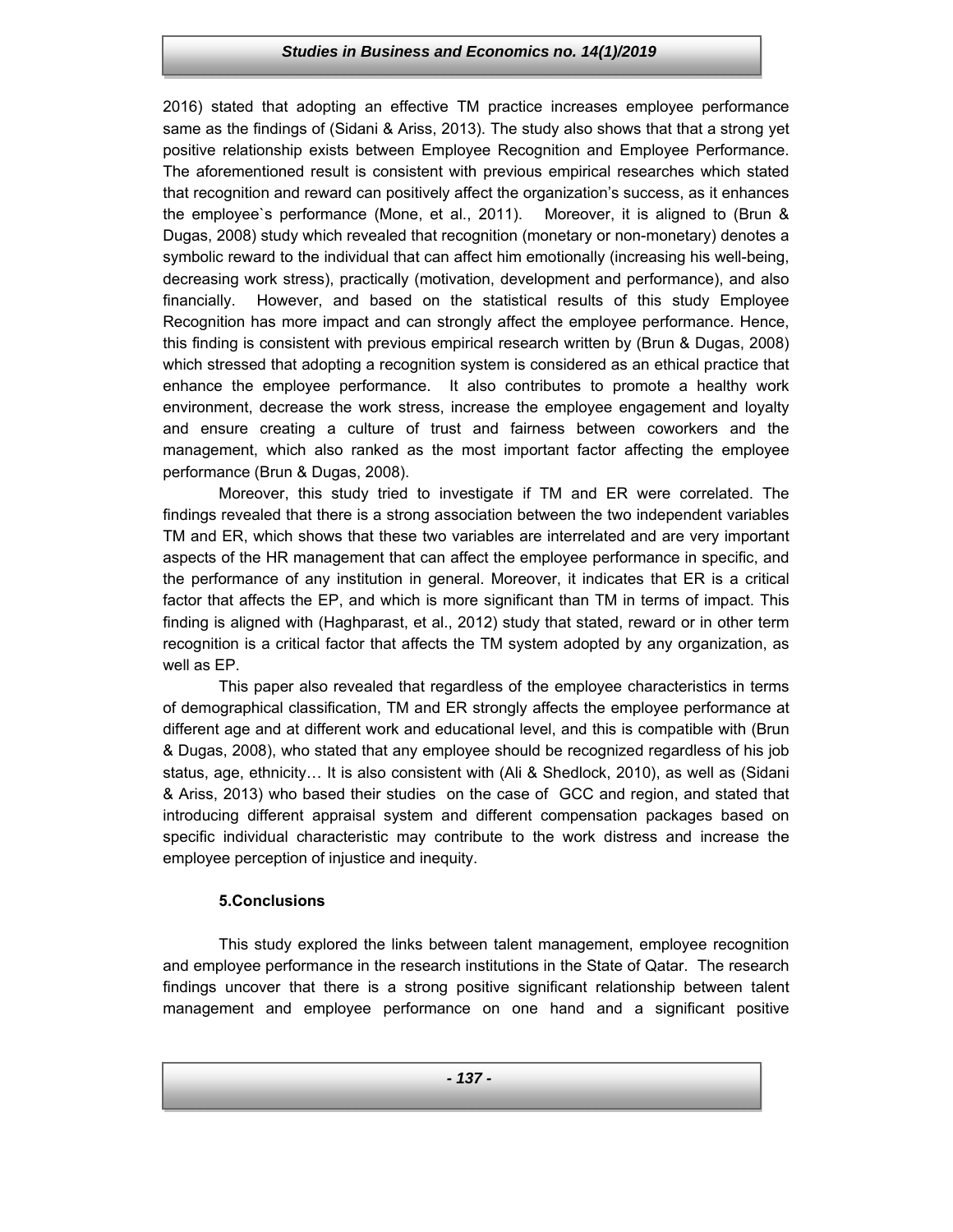2016) stated that adopting an effective TM practice increases employee performance same as the findings of (Sidani & Ariss, 2013). The study also shows that that a strong yet positive relationship exists between Employee Recognition and Employee Performance. The aforementioned result is consistent with previous empirical researches which stated that recognition and reward can positively affect the organization's success, as it enhances the employee`s performance (Mone, et al., 2011). Moreover, it is aligned to (Brun & Dugas, 2008) study which revealed that recognition (monetary or non-monetary) denotes a symbolic reward to the individual that can affect him emotionally (increasing his well-being, decreasing work stress), practically (motivation, development and performance), and also financially. However, and based on the statistical results of this study Employee Recognition has more impact and can strongly affect the employee performance. Hence, this finding is consistent with previous empirical research written by (Brun & Dugas, 2008) which stressed that adopting a recognition system is considered as an ethical practice that enhance the employee performance. It also contributes to promote a healthy work environment, decrease the work stress, increase the employee engagement and loyalty and ensure creating a culture of trust and fairness between coworkers and the management, which also ranked as the most important factor affecting the employee performance (Brun & Dugas, 2008).

 Moreover, this study tried to investigate if TM and ER were correlated. The findings revealed that there is a strong association between the two independent variables TM and ER, which shows that these two variables are interrelated and are very important aspects of the HR management that can affect the employee performance in specific, and the performance of any institution in general. Moreover, it indicates that ER is a critical factor that affects the EP, and which is more significant than TM in terms of impact. This finding is aligned with (Haghparast, et al., 2012) study that stated, reward or in other term recognition is a critical factor that affects the TM system adopted by any organization, as well as EP.

 This paper also revealed that regardless of the employee characteristics in terms of demographical classification, TM and ER strongly affects the employee performance at different age and at different work and educational level, and this is compatible with (Brun & Dugas, 2008), who stated that any employee should be recognized regardless of his job status, age, ethnicity… It is also consistent with (Ali & Shedlock, 2010), as well as (Sidani & Ariss, 2013) who based their studies on the case of GCC and region, and stated that introducing different appraisal system and different compensation packages based on specific individual characteristic may contribute to the work distress and increase the employee perception of injustice and inequity.

## **5.Conclusions**

 This study explored the links between talent management, employee recognition and employee performance in the research institutions in the State of Qatar. The research findings uncover that there is a strong positive significant relationship between talent management and employee performance on one hand and a significant positive

*- 137 -*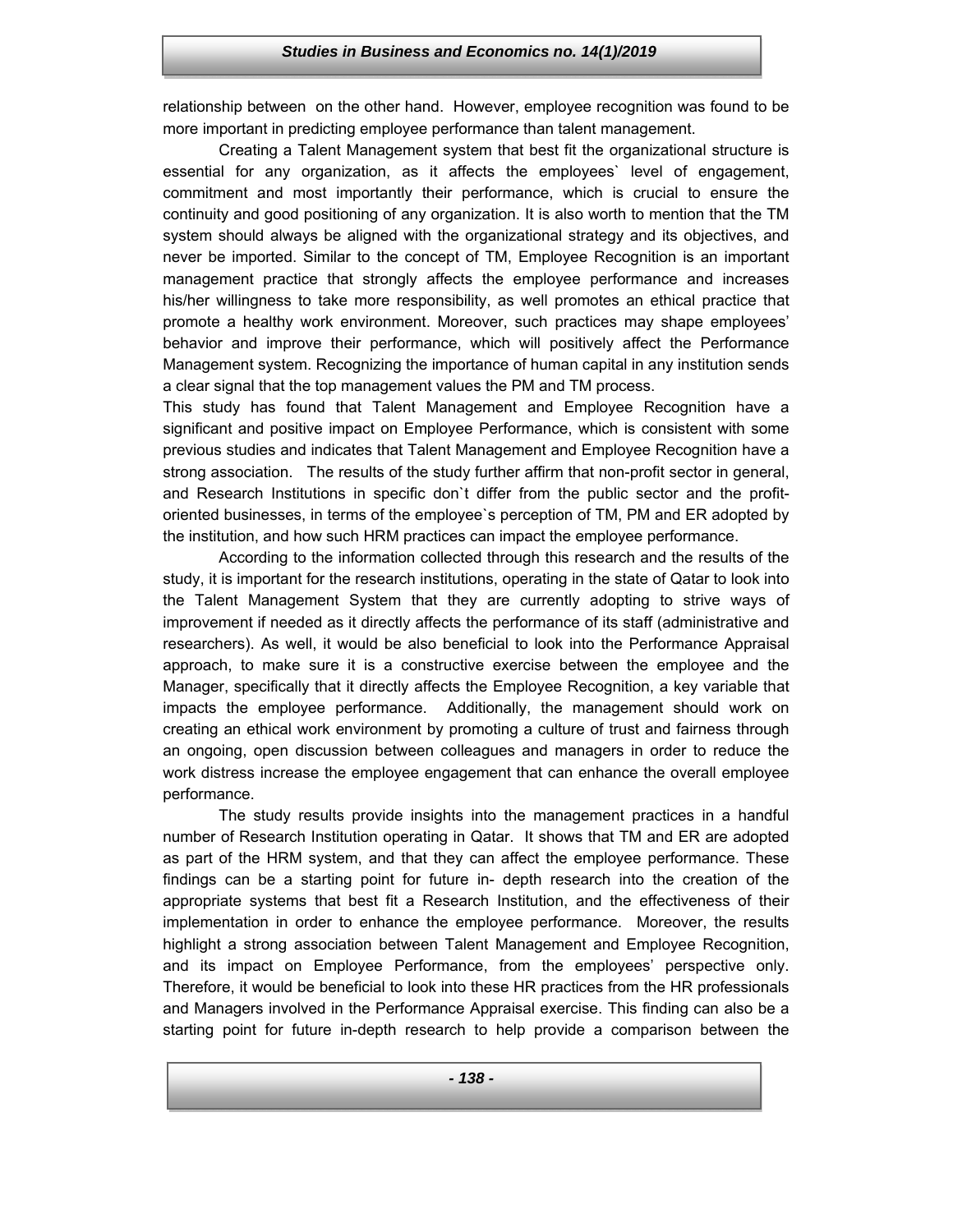relationship between on the other hand. However, employee recognition was found to be more important in predicting employee performance than talent management.

 Creating a Talent Management system that best fit the organizational structure is essential for any organization, as it affects the employees` level of engagement, commitment and most importantly their performance, which is crucial to ensure the continuity and good positioning of any organization. It is also worth to mention that the TM system should always be aligned with the organizational strategy and its objectives, and never be imported. Similar to the concept of TM, Employee Recognition is an important management practice that strongly affects the employee performance and increases his/her willingness to take more responsibility, as well promotes an ethical practice that promote a healthy work environment. Moreover, such practices may shape employees' behavior and improve their performance, which will positively affect the Performance Management system. Recognizing the importance of human capital in any institution sends a clear signal that the top management values the PM and TM process.

This study has found that Talent Management and Employee Recognition have a significant and positive impact on Employee Performance, which is consistent with some previous studies and indicates that Talent Management and Employee Recognition have a strong association. The results of the study further affirm that non-profit sector in general, and Research Institutions in specific don`t differ from the public sector and the profitoriented businesses, in terms of the employee`s perception of TM, PM and ER adopted by the institution, and how such HRM practices can impact the employee performance.

According to the information collected through this research and the results of the study, it is important for the research institutions, operating in the state of Qatar to look into the Talent Management System that they are currently adopting to strive ways of improvement if needed as it directly affects the performance of its staff (administrative and researchers). As well, it would be also beneficial to look into the Performance Appraisal approach, to make sure it is a constructive exercise between the employee and the Manager, specifically that it directly affects the Employee Recognition, a key variable that impacts the employee performance. Additionally, the management should work on creating an ethical work environment by promoting a culture of trust and fairness through an ongoing, open discussion between colleagues and managers in order to reduce the work distress increase the employee engagement that can enhance the overall employee performance.

The study results provide insights into the management practices in a handful number of Research Institution operating in Qatar. It shows that TM and ER are adopted as part of the HRM system, and that they can affect the employee performance. These findings can be a starting point for future in- depth research into the creation of the appropriate systems that best fit a Research Institution, and the effectiveness of their implementation in order to enhance the employee performance. Moreover, the results highlight a strong association between Talent Management and Employee Recognition, and its impact on Employee Performance, from the employees' perspective only. Therefore, it would be beneficial to look into these HR practices from the HR professionals and Managers involved in the Performance Appraisal exercise. This finding can also be a starting point for future in-depth research to help provide a comparison between the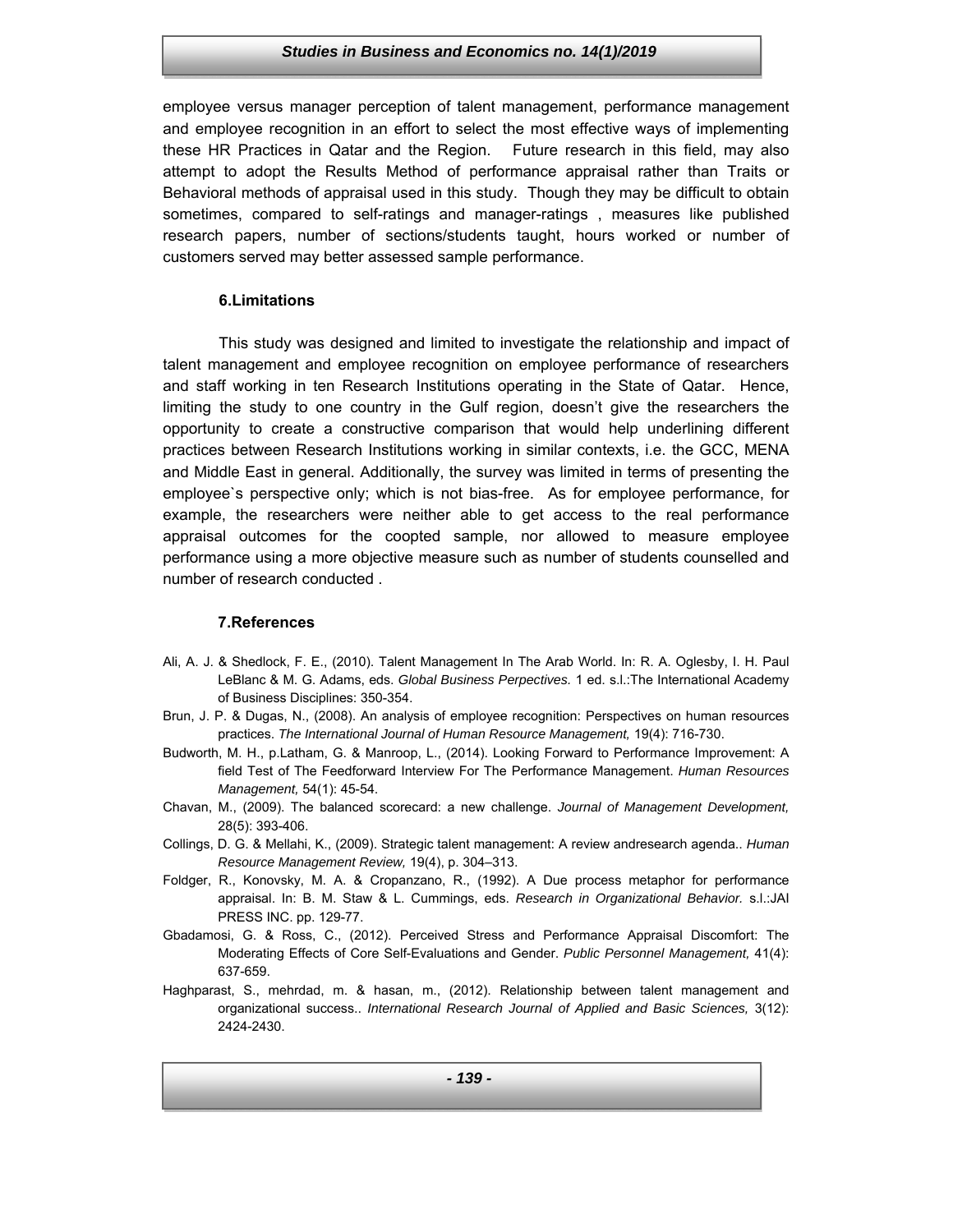employee versus manager perception of talent management, performance management and employee recognition in an effort to select the most effective ways of implementing these HR Practices in Qatar and the Region. Future research in this field, may also attempt to adopt the Results Method of performance appraisal rather than Traits or Behavioral methods of appraisal used in this study. Though they may be difficult to obtain sometimes, compared to self-ratings and manager-ratings , measures like published research papers, number of sections/students taught, hours worked or number of customers served may better assessed sample performance.

## **6.Limitations**

This study was designed and limited to investigate the relationship and impact of talent management and employee recognition on employee performance of researchers and staff working in ten Research Institutions operating in the State of Qatar. Hence, limiting the study to one country in the Gulf region, doesn't give the researchers the opportunity to create a constructive comparison that would help underlining different practices between Research Institutions working in similar contexts, i.e. the GCC, MENA and Middle East in general. Additionally, the survey was limited in terms of presenting the employee`s perspective only; which is not bias-free. As for employee performance, for example, the researchers were neither able to get access to the real performance appraisal outcomes for the coopted sample, nor allowed to measure employee performance using a more objective measure such as number of students counselled and number of research conducted .

#### **7.References**

- Ali, A. J. & Shedlock, F. E., (2010). Talent Management In The Arab World. In: R. A. Oglesby, I. H. Paul LeBlanc & M. G. Adams, eds. *Global Business Perpectives.* 1 ed. s.l.:The International Academy of Business Disciplines: 350-354.
- Brun, J. P. & Dugas, N., (2008). An analysis of employee recognition: Perspectives on human resources practices. *The International Journal of Human Resource Management,* 19(4): 716-730.
- Budworth, M. H., p.Latham, G. & Manroop, L., (2014). Looking Forward to Performance Improvement: A field Test of The Feedforward Interview For The Performance Management. *Human Resources Management,* 54(1): 45-54.
- Chavan, M., (2009). The balanced scorecard: a new challenge. *Journal of Management Development,*  28(5): 393-406.
- Collings, D. G. & Mellahi, K., (2009). Strategic talent management: A review andresearch agenda.. *Human Resource Management Review,* 19(4), p. 304–313.
- Foldger, R., Konovsky, M. A. & Cropanzano, R., (1992). A Due process metaphor for performance appraisal. In: B. M. Staw & L. Cummings, eds. *Research in Organizational Behavior.* s.l.:JAI PRESS INC. pp. 129-77.
- Gbadamosi, G. & Ross, C., (2012). Perceived Stress and Performance Appraisal Discomfort: The Moderating Effects of Core Self-Evaluations and Gender. *Public Personnel Management,* 41(4): 637-659.
- Haghparast, S., mehrdad, m. & hasan, m., (2012). Relationship between talent management and organizational success.. *International Research Journal of Applied and Basic Sciences,* 3(12): 2424-2430.